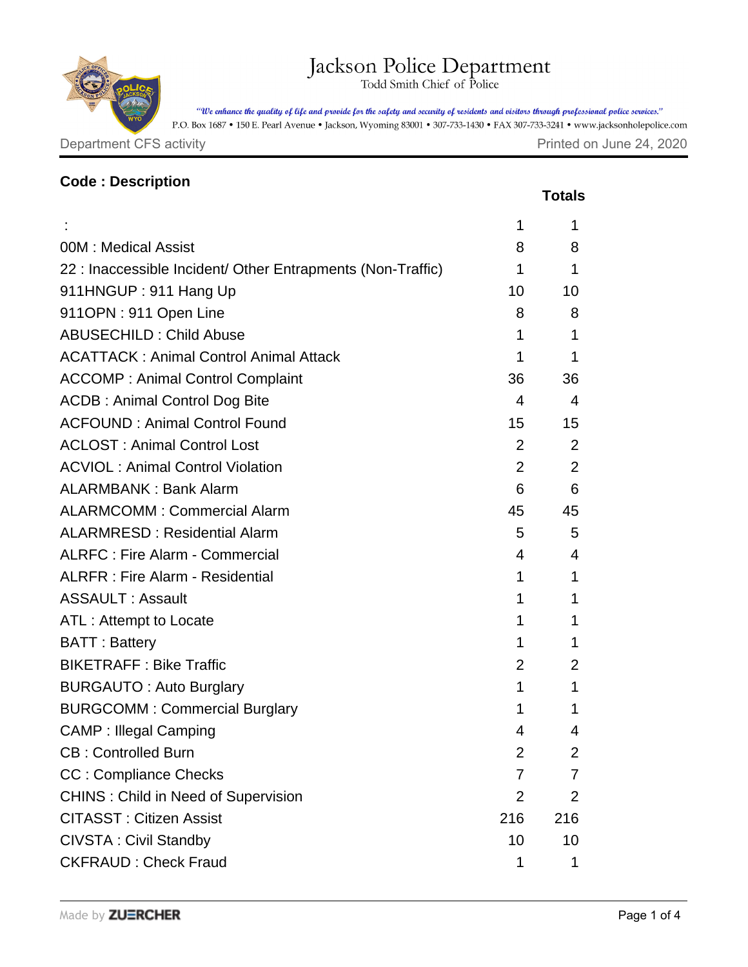## Jackson Police Department

"We enhance the quality of life and provide for the safety and security of residents and visitors through professional police services."

P.O. Box 1687 • 150 E. Pearl Avenue • Jackson, Wyoming 83001 • 307-733-1430 • FAX 307-733-3241 • www.jacksonholepolice.com

Department CFS activity **Department CFS** activity

| <b>Code: Description</b>                                    |                |               |
|-------------------------------------------------------------|----------------|---------------|
|                                                             |                | <b>Totals</b> |
|                                                             | 1              | 1             |
| 00M: Medical Assist                                         | 8              | 8             |
| 22 : Inaccessible Incident/ Other Entrapments (Non-Traffic) | 1              | 1             |
| 911HNGUP: 911 Hang Up                                       | 10             | 10            |
| 911OPN: 911 Open Line                                       | 8              | 8             |
| <b>ABUSECHILD: Child Abuse</b>                              | 1              | 1             |
| <b>ACATTACK: Animal Control Animal Attack</b>               | 1              | 1             |
| <b>ACCOMP: Animal Control Complaint</b>                     | 36             | 36            |
| <b>ACDB: Animal Control Dog Bite</b>                        | 4              | 4             |
| <b>ACFOUND: Animal Control Found</b>                        | 15             | 15            |
| <b>ACLOST: Animal Control Lost</b>                          | 2              | 2             |
| <b>ACVIOL: Animal Control Violation</b>                     | 2              | 2             |
| <b>ALARMBANK: Bank Alarm</b>                                | 6              | 6             |
| <b>ALARMCOMM: Commercial Alarm</b>                          | 45             | 45            |
| <b>ALARMRESD: Residential Alarm</b>                         | 5              | 5             |
| <b>ALRFC: Fire Alarm - Commercial</b>                       | 4              | 4             |
| <b>ALRFR: Fire Alarm - Residential</b>                      | 1              | 1             |
| <b>ASSAULT: Assault</b>                                     | 1              | 1             |
| ATL: Attempt to Locate                                      | 1              | 1             |
| <b>BATT: Battery</b>                                        | 1              | 1             |
| <b>BIKETRAFF: Bike Traffic</b>                              | $\overline{2}$ | 2             |
| <b>BURGAUTO: Auto Burglary</b>                              | 1              | 1             |
| <b>BURGCOMM: Commercial Burglary</b>                        | 1              | 1             |
| <b>CAMP: Illegal Camping</b>                                | 4              | 4             |
| <b>CB: Controlled Burn</b>                                  | $\overline{2}$ | 2             |
| <b>CC: Compliance Checks</b>                                | $\overline{7}$ | 7             |
| <b>CHINS: Child in Need of Supervision</b>                  | $\overline{2}$ | 2             |
| <b>CITASST: Citizen Assist</b>                              | 216            | 216           |
| <b>CIVSTA: Civil Standby</b>                                | 10             | 10            |
| <b>CKFRAUD: Check Fraud</b>                                 | 1              | 1             |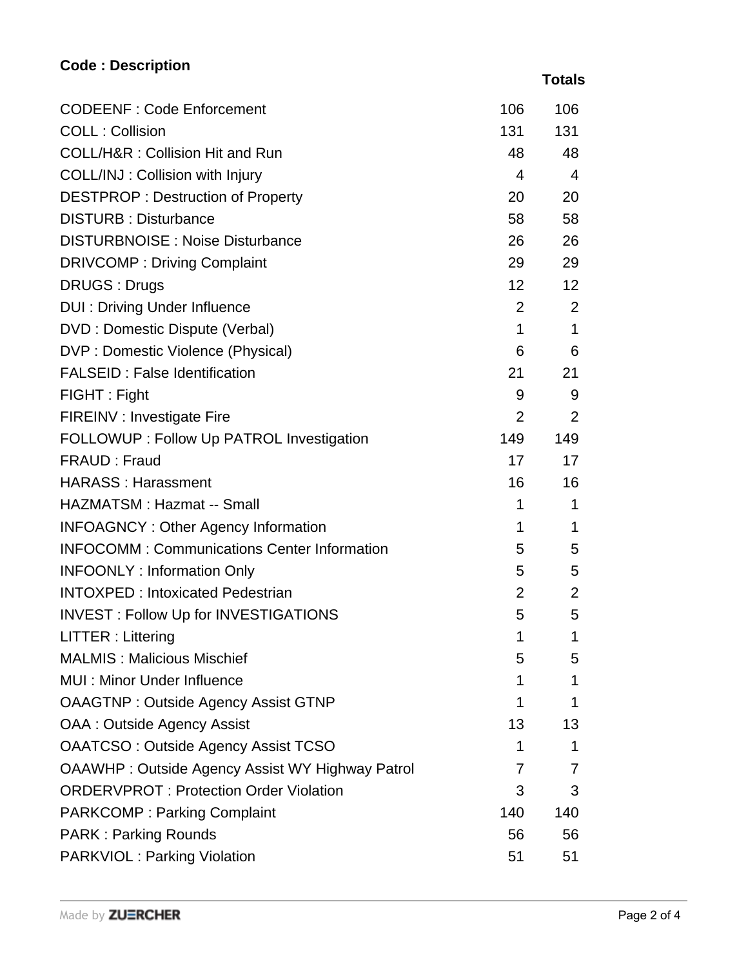## **Code : Description**

|                                                        |                 | <b>Totals</b>  |
|--------------------------------------------------------|-----------------|----------------|
| <b>CODEENF: Code Enforcement</b>                       | 106             | 106            |
| <b>COLL: Collision</b>                                 | 131             | 131            |
| <b>COLL/H&amp;R: Collision Hit and Run</b>             | 48              | 48             |
| COLL/INJ: Collision with Injury                        | 4               | $\overline{4}$ |
| <b>DESTPROP: Destruction of Property</b>               | 20              | 20             |
| <b>DISTURB: Disturbance</b>                            | 58              | 58             |
| <b>DISTURBNOISE: Noise Disturbance</b>                 | 26              | 26             |
| <b>DRIVCOMP: Driving Complaint</b>                     | 29              | 29             |
| <b>DRUGS: Drugs</b>                                    | 12 <sup>2</sup> | 12             |
| <b>DUI: Driving Under Influence</b>                    | 2               | 2              |
| DVD: Domestic Dispute (Verbal)                         | $\mathbf{1}$    | $\mathbf 1$    |
| DVP : Domestic Violence (Physical)                     | 6               | 6              |
| <b>FALSEID: False Identification</b>                   | 21              | 21             |
| FIGHT: Fight                                           | 9               | 9              |
| FIREINV : Investigate Fire                             | 2               | 2              |
| FOLLOWUP : Follow Up PATROL Investigation              | 149             | 149            |
| FRAUD : Fraud                                          | 17              | 17             |
| <b>HARASS: Harassment</b>                              | 16              | 16             |
| HAZMATSM: Hazmat -- Small                              | 1               | 1              |
| <b>INFOAGNCY: Other Agency Information</b>             | 1               | 1              |
| <b>INFOCOMM: Communications Center Information</b>     | 5               | 5              |
| <b>INFOONLY: Information Only</b>                      | 5               | 5              |
| <b>INTOXPED: Intoxicated Pedestrian</b>                | $\overline{2}$  | 2              |
| <b>INVEST: Follow Up for INVESTIGATIONS</b>            | 5               | 5              |
| LITTER: Littering                                      | 1               | 1              |
| <b>MALMIS: Malicious Mischief</b>                      | 5               | 5              |
| <b>MUI: Minor Under Influence</b>                      | 1               | 1              |
| <b>OAAGTNP: Outside Agency Assist GTNP</b>             | 1               | 1              |
| <b>OAA: Outside Agency Assist</b>                      | 13              | 13             |
| <b>OAATCSO: Outside Agency Assist TCSO</b>             | 1               | 1              |
| <b>OAAWHP: Outside Agency Assist WY Highway Patrol</b> | 7               | 7              |
| <b>ORDERVPROT: Protection Order Violation</b>          | 3               | 3              |
| <b>PARKCOMP: Parking Complaint</b>                     | 140             | 140            |
| <b>PARK: Parking Rounds</b>                            | 56              | 56             |
| <b>PARKVIOL: Parking Violation</b>                     | 51              | 51             |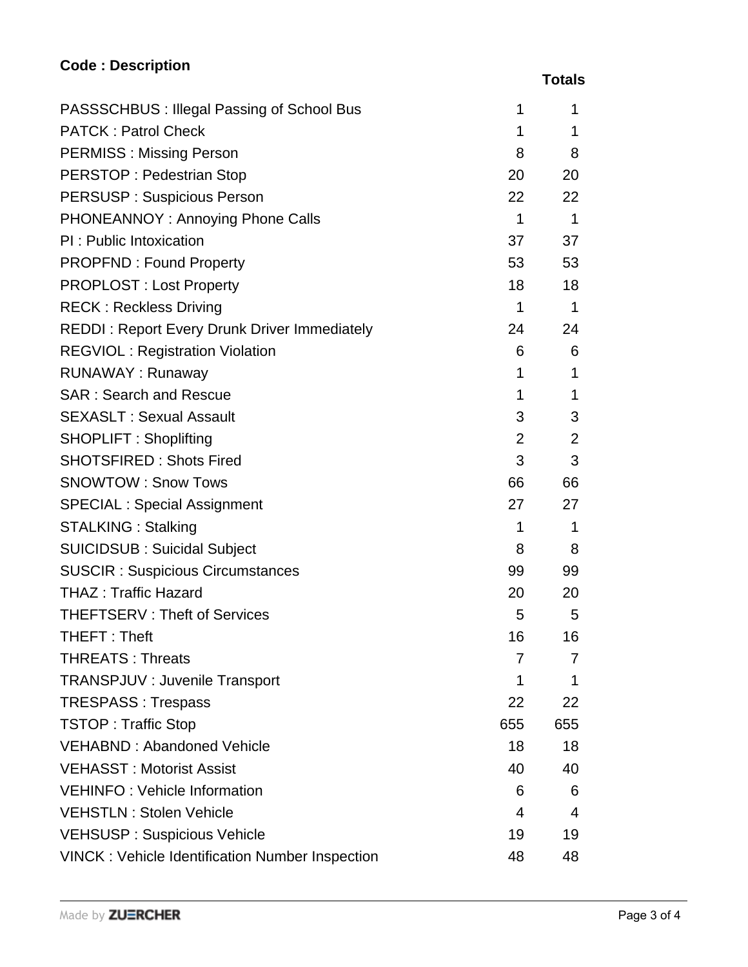## **Code : Description**

|                                                        |                 | <b>Totals</b> |
|--------------------------------------------------------|-----------------|---------------|
| PASSSCHBUS : Illegal Passing of School Bus             | 1               | 1             |
| <b>PATCK: Patrol Check</b>                             | $\mathbf{1}$    | 1             |
| <b>PERMISS: Missing Person</b>                         | 8               | 8             |
| <b>PERSTOP: Pedestrian Stop</b>                        | 20              | 20            |
| <b>PERSUSP: Suspicious Person</b>                      | 22 <sub>2</sub> | 22            |
| PHONEANNOY: Annoying Phone Calls                       | $\mathbf{1}$    | $\mathbf 1$   |
| PI: Public Intoxication                                | 37              | 37            |
| <b>PROPFND: Found Property</b>                         | 53              | 53            |
| <b>PROPLOST: Lost Property</b>                         | 18              | 18            |
| <b>RECK: Reckless Driving</b>                          | 1               | 1             |
| <b>REDDI: Report Every Drunk Driver Immediately</b>    | 24              | 24            |
| <b>REGVIOL: Registration Violation</b>                 | 6               | 6             |
| <b>RUNAWAY: Runaway</b>                                | $\mathbf{1}$    | 1             |
| <b>SAR: Search and Rescue</b>                          | 1               | $\mathbf{1}$  |
| <b>SEXASLT: Sexual Assault</b>                         | 3               | 3             |
| <b>SHOPLIFT: Shoplifting</b>                           | 2               | 2             |
| <b>SHOTSFIRED: Shots Fired</b>                         | 3               | 3             |
| <b>SNOWTOW: Snow Tows</b>                              | 66              | 66            |
| <b>SPECIAL: Special Assignment</b>                     | 27              | 27            |
| <b>STALKING: Stalking</b>                              | $\mathbf{1}$    | 1             |
| <b>SUICIDSUB: Suicidal Subject</b>                     | 8               | 8             |
| <b>SUSCIR: Suspicious Circumstances</b>                | 99              | 99            |
| <b>THAZ: Traffic Hazard</b>                            | 20              | 20            |
| <b>THEFTSERV: Theft of Services</b>                    | 5               | 5             |
| THEFT: Theft                                           | 16              | 16            |
| <b>THREATS: Threats</b>                                | 7               | $\prime$      |
| <b>TRANSPJUV : Juvenile Transport</b>                  | 1               | 1             |
| <b>TRESPASS: Trespass</b>                              | 22              | 22            |
| <b>TSTOP: Traffic Stop</b>                             | 655             | 655           |
| <b>VEHABND: Abandoned Vehicle</b>                      | 18              | 18            |
| <b>VEHASST: Motorist Assist</b>                        | 40              | 40            |
| <b>VEHINFO: Vehicle Information</b>                    | 6               | 6             |
| <b>VEHSTLN: Stolen Vehicle</b>                         | 4               | 4             |
| <b>VEHSUSP: Suspicious Vehicle</b>                     | 19              | 19            |
| <b>VINCK: Vehicle Identification Number Inspection</b> | 48              | 48            |